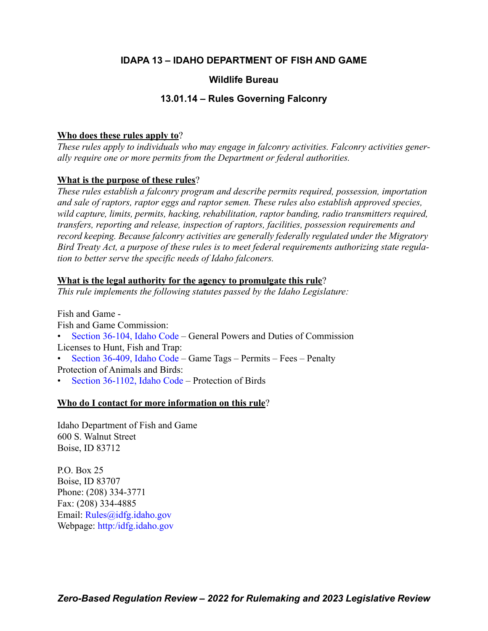## **IDAPA 13 – IDAHO DEPARTMENT OF FISH AND GAME**

## **Wildlife Bureau**

## **13.01.14 – Rules Governing Falconry**

## **Who does these rules apply to**?

*These rules apply to individuals who may engage in falconry activities. Falconry activities generally require one or more permits from the Department or federal authorities.*

## **What is the purpose of these rules**?

*These rules establish a falconry program and describe permits required, possession, importation and sale of raptors, raptor eggs and raptor semen. These rules also establish approved species, wild capture, limits, permits, hacking, rehabilitation, raptor banding, radio transmitters required, transfers, reporting and release, inspection of raptors, facilities, possession requirements and record keeping. Because falconry activities are generally federally regulated under the Migratory Bird Treaty Act, a purpose of these rules is to meet federal requirements authorizing state regulation to better serve the specific needs of Idaho falconers.*

### **What is the legal authority for the agency to promulgate this rule**?

*This rule implements the following statutes passed by the Idaho Legislature:*

Fish and Game - Fish and Game Commission:

- [Section 36-104, Idaho Code –](https://legislature.idaho.gov/statutesrules/idstat/Title36/T36CH1/SECT36-104/) General Powers and Duties of Commission Licenses to Hunt, Fish and Trap:
- [Section 36-409, Idaho Code –](https://legislature.idaho.gov/statutesrules/idstat/Title36/T36CH4/SECT36-409/) Game Tags Permits Fees Penalty Protection of Animals and Birds:
- [Section 36-1102, Idaho Code](https://legislature.idaho.gov/statutesrules/idstat/Title36/T36CH11/SECT36-1102/)  Protection of Birds

## **Who do I contact for more information on this rule**?

Idaho Department of Fish and Game 600 S. Walnut Street Boise, ID 83712

P.O. Box 25 Boise, ID 83707 Phone: (208) 334-3771 Fax: (208) 334-4885 Email: [Rules@idfg.idaho.gov](mailto:Rules@idfg.idaho.gov) Webpage: [http:/idfg.idaho.gov](https://idfg.idaho.gov)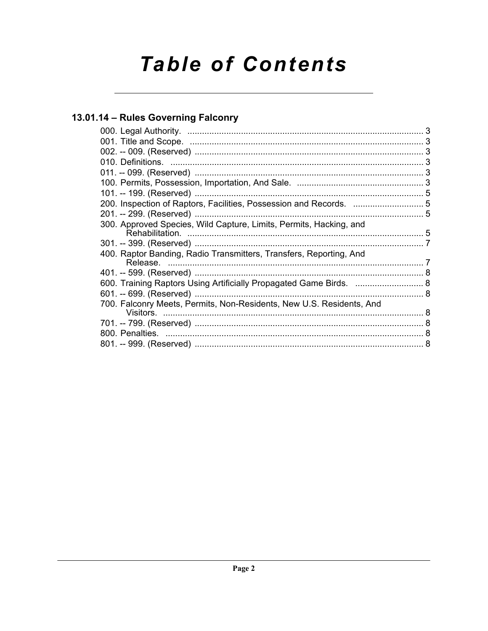# **Table of Contents**

## 13.01.14 - Rules Governing Falconry

| 200. Inspection of Raptors, Facilities, Possession and Records.  5   |  |
|----------------------------------------------------------------------|--|
|                                                                      |  |
| 300. Approved Species, Wild Capture, Limits, Permits, Hacking, and   |  |
|                                                                      |  |
| 400. Raptor Banding, Radio Transmitters, Transfers, Reporting, And   |  |
|                                                                      |  |
| 600. Training Raptors Using Artificially Propagated Game Birds.  8   |  |
|                                                                      |  |
| 700. Falconry Meets, Permits, Non-Residents, New U.S. Residents, And |  |
|                                                                      |  |
|                                                                      |  |
|                                                                      |  |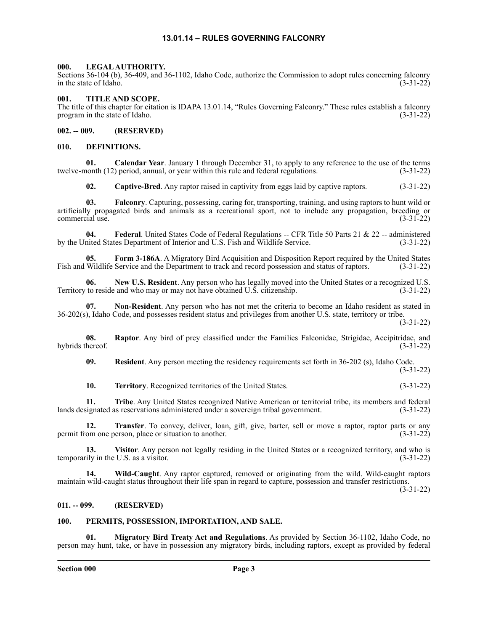#### **13.01.14 – RULES GOVERNING FALCONRY**

#### <span id="page-2-1"></span><span id="page-2-0"></span>**000. LEGAL AUTHORITY.**

Sections 36-104 (b), 36-409, and 36-1102, Idaho Code, authorize the Commission to adopt rules concerning falconry in the state of Idaho. (3-31-22)

#### <span id="page-2-2"></span>**001. TITLE AND SCOPE.**

The title of this chapter for citation is IDAPA 13.01.14, "Rules Governing Falconry." These rules establish a falconry program in the state of Idaho. (3-31-22)

<span id="page-2-3"></span>**002. -- 009. (RESERVED)**

#### <span id="page-2-4"></span>**010. DEFINITIONS.**

**01. Calendar Year**. January 1 through December 31, to apply to any reference to the use of the terms nonth (12) period, annual, or year within this rule and federal regulations. (3-31-22) twelve-month (12) period, annual, or year within this rule and federal regulations.

**02. Captive-Bred**. Any raptor raised in captivity from eggs laid by captive raptors. (3-31-22)

**03. Falconry**. Capturing, possessing, caring for, transporting, training, and using raptors to hunt wild or artificially propagated birds and animals as a recreational sport, not to include any propagation, breeding or  $\blacksquare$ commercial use. (3-31-22)

**04. Federal**. United States Code of Federal Regulations -- CFR Title 50 Parts 21 & 22 -- administered by the United States Department of Interior and U.S. Fish and Wildlife Service. (3-31-22)

**05. Form 3-186A**. A Migratory Bird Acquisition and Disposition Report required by the United States Fish and Wildlife Service and the Department to track and record possession and status of raptors. (3-31-22)

**06.** New U.S. Resident. Any person who has legally moved into the United States or a recognized U.S. to reside and who may or may not have obtained U.S. citizenship. (3-31-22) Territory to reside and who may or may not have obtained U.S. citizenship.

**07. Non-Resident**. Any person who has not met the criteria to become an Idaho resident as stated in 36-202(s), Idaho Code, and possesses resident status and privileges from another U.S. state, territory or tribe.

(3-31-22)

**08. Raptor**. Any bird of prey classified under the Families Falconidae, Strigidae, Accipitridae, and hybrids thereof. (3-31-22)

**09. Resident**. Any person meeting the residency requirements set forth in 36-202 (s), Idaho Code. (3-31-22)

**10. Territory**. Recognized territories of the United States. (3-31-22)

**11. Tribe**. Any United States recognized Native American or territorial tribe, its members and federal lands designated as reservations administered under a sovereign tribal government. (3-31-22)

**12. Transfer**. To convey, deliver, loan, gift, give, barter, sell or move a raptor, raptor parts or any om one person, place or situation to another. (3-31-22) permit from one person, place or situation to another.

**13. Visitor**. Any person not legally residing in the United States or a recognized territory, and who is temporarily in the U.S. as a visitor. (3-31-22)

**14. Wild-Caught**. Any raptor captured, removed or originating from the wild. Wild-caught raptors maintain wild-caught status throughout their life span in regard to capture, possession and transfer restrictions.

(3-31-22)

#### <span id="page-2-5"></span>**011. -- 099. (RESERVED)**

#### <span id="page-2-6"></span>**100. PERMITS, POSSESSION, IMPORTATION, AND SALE.**

**01. Migratory Bird Treaty Act and Regulations**. As provided by Section 36-1102, Idaho Code, no person may hunt, take, or have in possession any migratory birds, including raptors, except as provided by federal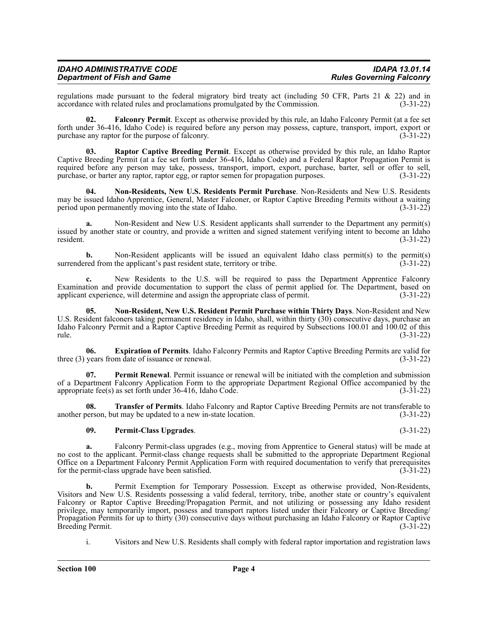| <b>IDAHO ADMINISTRATIVE CODE</b>   | <b>IDAPA 13.01.14</b>           |
|------------------------------------|---------------------------------|
| <b>Department of Fish and Game</b> | <b>Rules Governing Falconry</b> |

regulations made pursuant to the federal migratory bird treaty act (including 50 CFR, Parts 21 & 22) and in accordance with related rules and proclamations promulgated by the Commission. (3-31-22) accordance with related rules and proclamations promulgated by the Commission.

**02. Falconry Permit**. Except as otherwise provided by this rule, an Idaho Falconry Permit (at a fee set forth under 36-416, Idaho Code) is required before any person may possess, capture, transport, import, export or purchase any raptor for the purpose of falconry. (3-31-22)

**03. Raptor Captive Breeding Permit**. Except as otherwise provided by this rule, an Idaho Raptor Captive Breeding Permit (at a fee set forth under 36-416, Idaho Code) and a Federal Raptor Propagation Permit is required before any person may take, possess, transport, import, export, purchase, barter, sell or offer to sell, purchase, or barter any raptor, raptor egg, or raptor semen for propagation purposes. (3-31-22) purchase, or barter any raptor, raptor egg, or raptor semen for propagation purposes.

**04. Non-Residents, New U.S. Residents Permit Purchase**. Non-Residents and New U.S. Residents may be issued Idaho Apprentice, General, Master Falconer, or Raptor Captive Breeding Permits without a waiting period upon permanently moving into the state of Idaho. (3-31-22)

**a.** Non-Resident and New U.S. Resident applicants shall surrender to the Department any permit(s) issued by another state or country, and provide a written and signed statement verifying intent to become an Idaho resident. (3-31-22)

**b.** Non-Resident applicants will be issued an equivalent Idaho class permit(s) to the permit(s) red from the applicant's past resident state, territory or tribe. (3-31-22) surrendered from the applicant's past resident state, territory or tribe.

**c.** New Residents to the U.S. will be required to pass the Department Apprentice Falconry Examination and provide documentation to support the class of permit applied for. The Department, based on applicant experience, will determine and assign the appropriate class of permit. (3-31-22)

**05. Non-Resident, New U.S. Resident Permit Purchase within Thirty Days**. Non-Resident and New U.S. Resident falconers taking permanent residency in Idaho, shall, within thirty (30) consecutive days, purchase an Idaho Falconry Permit and a Raptor Captive Breeding Permit as required by Subsections 100.01 and 100.02 of this rule. (3-31-22)

**06. Expiration of Permits**. Idaho Falconry Permits and Raptor Captive Breeding Permits are valid for three (3) years from date of issuance or renewal. (3-31-22)

**07. Permit Renewal**. Permit issuance or renewal will be initiated with the completion and submission of a Department Falconry Application Form to the appropriate Department Regional Office accompanied by the appropriate fee(s) as set forth under 36-416, Idaho Code. (3-31-22)

**08. Transfer of Permits**. Idaho Falconry and Raptor Captive Breeding Permits are not transferable to another person, but may be updated to a new in-state location. (3-31-22)

#### **09. Permit-Class Upgrades**. (3-31-22)

**a.** Falconry Permit-class upgrades (e.g., moving from Apprentice to General status) will be made at no cost to the applicant. Permit-class change requests shall be submitted to the appropriate Department Regional Office on a Department Falconry Permit Application Form with required documentation to verify that prerequisites for the permit-class upgrade have been satisfied. (3-31-22)

**b.** Permit Exemption for Temporary Possession. Except as otherwise provided, Non-Residents, Visitors and New U.S. Residents possessing a valid federal, territory, tribe, another state or country's equivalent Falconry or Raptor Captive Breeding/Propagation Permit, and not utilizing or possessing any Idaho resident privilege, may temporarily import, possess and transport raptors listed under their Falconry or Captive Breeding/ Propagation Permits for up to thirty (30) consecutive days without purchasing an Idaho Falconry or Raptor Captive<br>Breeding Permit. (3-31-22) Breeding Permit.

i. Visitors and New U.S. Residents shall comply with federal raptor importation and registration laws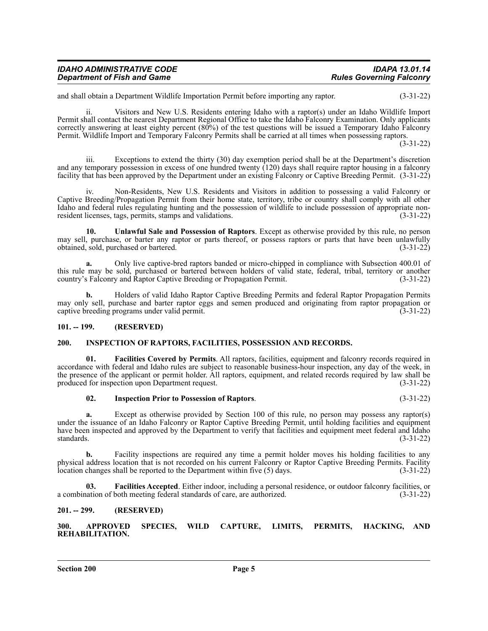| <b>IDAHO ADMINISTRATIVE CODE</b>   | <b>IDAPA 13.01.14</b>           |
|------------------------------------|---------------------------------|
| <b>Department of Fish and Game</b> | <b>Rules Governing Falconry</b> |

and shall obtain a Department Wildlife Importation Permit before importing any raptor. (3-31-22)

ii. Visitors and New U.S. Residents entering Idaho with a raptor(s) under an Idaho Wildlife Import Permit shall contact the nearest Department Regional Office to take the Idaho Falconry Examination. Only applicants correctly answering at least eighty percent (80%) of the test questions will be issued a Temporary Idaho Falconry Permit. Wildlife Import and Temporary Falconry Permits shall be carried at all times when possessing raptors.

(3-31-22)

iii. Exceptions to extend the thirty (30) day exemption period shall be at the Department's discretion and any temporary possession in excess of one hundred twenty (120) days shall require raptor housing in a falconry facility that has been approved by the Department under an existing Falconry or Captive Breeding Permit. (3-31-22)

iv. Non-Residents, New U.S. Residents and Visitors in addition to possessing a valid Falconry or Captive Breeding/Propagation Permit from their home state, territory, tribe or country shall comply with all other Idaho and federal rules regulating hunting and the possession of wildlife to include possession of appropriate nonresident licenses, tags, permits, stamps and validations. (3-31-22)

**10. Unlawful Sale and Possession of Raptors**. Except as otherwise provided by this rule, no person may sell, purchase, or barter any raptor or parts thereof, or possess raptors or parts that have been unlawfully obtained, sold, purchased or bartered. (3-31-22)

**a.** Only live captive-bred raptors banded or micro-chipped in compliance with Subsection 400.01 of this rule may be sold, purchased or bartered between holders of valid state, federal, tribal, territory or another country's Falconry and Raptor Captive Breeding or Propagation Permit. (3-31-22)

**b.** Holders of valid Idaho Raptor Captive Breeding Permits and federal Raptor Propagation Permits may only sell, purchase and barter raptor eggs and semen produced and originating from raptor propagation or captive breeding programs under valid permit. (3-31-22) captive breeding programs under valid permit.

#### <span id="page-4-0"></span>**101. -- 199. (RESERVED)**

#### <span id="page-4-1"></span>**200. INSPECTION OF RAPTORS, FACILITIES, POSSESSION AND RECORDS.**

**01. Facilities Covered by Permits**. All raptors, facilities, equipment and falconry records required in accordance with federal and Idaho rules are subject to reasonable business-hour inspection, any day of the week, in the presence of the applicant or permit holder. All raptors, equipment, and related records required by law shall be produced for inspection upon Department request. (3-31-22)

#### **02. Inspection Prior to Possession of Raptors**. (3-31-22)

**a.** Except as otherwise provided by Section 100 of this rule, no person may possess any raptor(s) under the issuance of an Idaho Falconry or Raptor Captive Breeding Permit, until holding facilities and equipment have been inspected and approved by the Department to verify that facilities and equipment meet federal and Idaho standards. (3-31-22) standards.  $(3-31-22)$ 

**b.** Facility inspections are required any time a permit holder moves his holding facilities to any physical address location that is not recorded on his current Falconry or Raptor Captive Breeding Permits. Facility location changes shall be reported to the Department within five (5) days. (3-31-22)

**03. Facilities Accepted**. Either indoor, including a personal residence, or outdoor falconry facilities, or a combination of both meeting federal standards of care, are authorized. (3-31-22)

#### <span id="page-4-2"></span>**201. -- 299. (RESERVED)**

<span id="page-4-3"></span>**300. APPROVED SPECIES, WILD CAPTURE, LIMITS, PERMITS, HACKING, AND REHABILITATION.**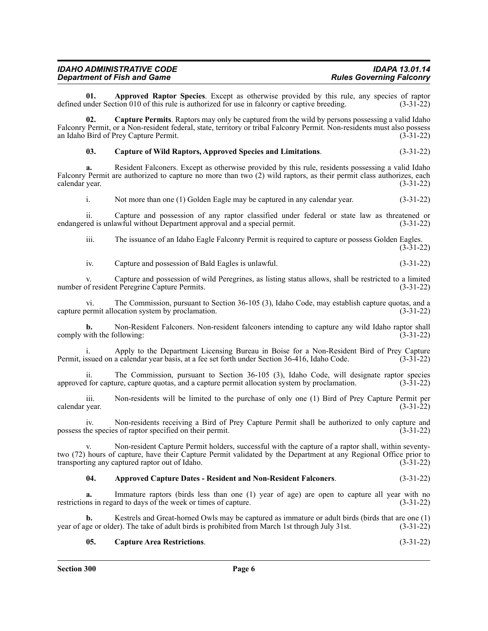| <b>IDAHO ADMINISTRATIVE CODE</b>   | <b>IDAPA 13.01.14</b>           |
|------------------------------------|---------------------------------|
| <b>Department of Fish and Game</b> | <b>Rules Governing Falconry</b> |

**01. Approved Raptor Species**. Except as otherwise provided by this rule, any species of raptor under Section 010 of this rule is authorized for use in falcomry or captive breeding. (3-31-22) defined under Section 010 of this rule is authorized for use in falconry or captive breeding.

**02. Capture Permits**. Raptors may only be captured from the wild by persons possessing a valid Idaho Falconry Permit, or a Non-resident federal, state, territory or tribal Falconry Permit. Non-residents must also possess an Idaho Bird of Prey Capture Permit. (3-31-22)

#### **03. Capture of Wild Raptors, Approved Species and Limitations**. (3-31-22)

**a.** Resident Falconers. Except as otherwise provided by this rule, residents possessing a valid Idaho Falconry Permit are authorized to capture no more than two (2) wild raptors, as their permit class authorizes, each calendar year. (3-31-22)

i. Not more than one (1) Golden Eagle may be captured in any calendar year. (3-31-22)

ii. Capture and possession of any raptor classified under federal or state law as threatened or red is unlawful without Department approval and a special permit. (3-31-22) endangered is unlawful without Department approval and a special permit.

iii. The issuance of an Idaho Eagle Falconry Permit is required to capture or possess Golden Eagles. (3-31-22)

iv. Capture and possession of Bald Eagles is unlawful. (3-31-22)

v. Capture and possession of wild Peregrines, as listing status allows, shall be restricted to a limited number of resident Peregrine Capture Permits. (3-31-22)

vi. The Commission, pursuant to Section 36-105 (3), Idaho Code, may establish capture quotas, and a capture permit allocation system by proclamation.

**b.** Non-Resident Falconers. Non-resident falconers intending to capture any wild Idaho raptor shall with the following: (3-31-22) comply with the following:

i. Apply to the Department Licensing Bureau in Boise for a Non-Resident Bird of Prey Capture Permit, issued on a calendar year basis, at a fee set forth under Section 36-416, Idaho Code. (3-31-22)

ii. The Commission, pursuant to Section 36-105 (3), Idaho Code, will designate raptor species<br>I for capture, capture quotas, and a capture permit allocation system by proclamation. (3-31-22) approved for capture, capture quotas, and a capture permit allocation system by proclamation.

iii. Non-residents will be limited to the purchase of only one (1) Bird of Prey Capture Permit per calendar year.

iv. Non-residents receiving a Bird of Prey Capture Permit shall be authorized to only capture and possess the species of raptor specified on their permit. (3-31-22)

Non-resident Capture Permit holders, successful with the capture of a raptor shall, within seventytwo (72) hours of capture, have their Capture Permit validated by the Department at any Regional Office prior to transporting any captured raptor out of Idaho. (3-31-22)

#### **04. Approved Capture Dates - Resident and Non-Resident Falconers**. (3-31-22)

**a.** Immature raptors (birds less than one (1) year of age) are open to capture all year with no restrictions in regard to days of the week or times of capture. (3-31-22)

**b.** Kestrels and Great-horned Owls may be captured as immature or adult birds (birds that are one (1) ge or older). The take of adult birds is prohibited from March 1st through July 31st. (3-31-22) year of age or older). The take of adult birds is prohibited from March 1st through July 31st.

#### **05. Capture Area Restrictions**. (3-31-22)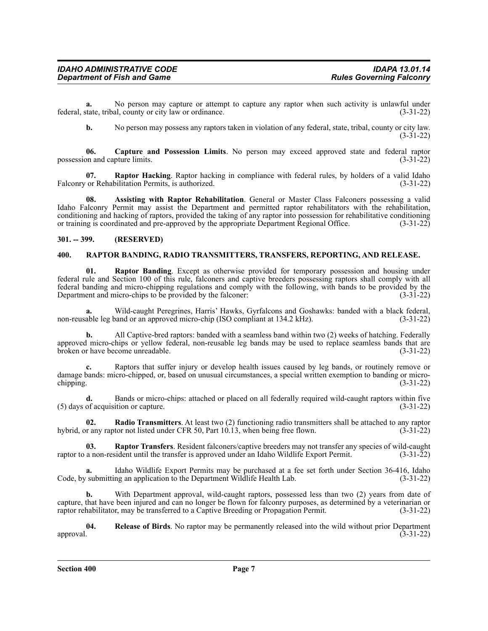**a.** No person may capture or attempt to capture any raptor when such activity is unlawful under state, tribal, county or city law or ordinance. (3-31-22) federal, state, tribal, county or city law or ordinance.

**b.** No person may possess any raptors taken in violation of any federal, state, tribal, county or city law. (3-31-22)

**06. Capture and Possession Limits**. No person may exceed approved state and federal raptor possession and capture limits. (3-31-22)

**07. Raptor Hacking**. Raptor hacking in compliance with federal rules, by holders of a valid Idaho Falconry or Rehabilitation Permits, is authorized. (3-31-22)

**08. Assisting with Raptor Rehabilitation**. General or Master Class Falconers possessing a valid Idaho Falconry Permit may assist the Department and permitted raptor rehabilitators with the rehabilitation, conditioning and hacking of raptors, provided the taking of any raptor into possession for rehabilitative conditioning or training is coordinated and pre-approved by the appropriate Department Regional Office. (3-31-22)

#### <span id="page-6-0"></span>**301. -- 399. (RESERVED)**

#### <span id="page-6-1"></span>**400. RAPTOR BANDING, RADIO TRANSMITTERS, TRANSFERS, REPORTING, AND RELEASE.**

**01. Raptor Banding**. Except as otherwise provided for temporary possession and housing under federal rule and Section 100 of this rule, falconers and captive breeders possessing raptors shall comply with all federal banding and micro-chipping regulations and comply with the following, with bands to be provided by the Department and micro-chips to be provided by the falconer: (3-31-22)

**a.** Wild-caught Peregrines, Harris' Hawks, Gyrfalcons and Goshawks: banded with a black federal, non-reusable leg band or an approved micro-chip (ISO compliant at 134.2 kHz). (3-31-22)

**b.** All Captive-bred raptors: banded with a seamless band within two (2) weeks of hatching. Federally approved micro-chips or yellow federal, non-reusable leg bands may be used to replace seamless bands that are broken or have become unreadable. (3-31-22)

**c.** Raptors that suffer injury or develop health issues caused by leg bands, or routinely remove or damage bands: micro-chipped, or, based on unusual circumstances, a special written exemption to banding or micro-<br>(3-31-22) chipping.  $(3-31-22)$ 

**d.** Bands or micro-chips: attached or placed on all federally required wild-caught raptors within five of acquisition or capture. (3-31-22)  $(5)$  days of acquisition or capture.

**02. Radio Transmitters**. At least two (2) functioning radio transmitters shall be attached to any raptor hybrid, or any raptor not listed under CFR 50, Part 10.13, when being free flown. (3-31-22)

**03.** Raptor Transfers. Resident falconers/captive breeders may not transfer any species of wild-caught a non-resident until the transfer is approved under an Idaho Wildlife Export Permit. (3-31-22) raptor to a non-resident until the transfer is approved under an Idaho Wildlife Export Permit.

**a.** Idaho Wildlife Export Permits may be purchased at a fee set forth under Section 36-416, Idaho Code, by submitting an application to the Department Wildlife Health Lab. (3-31-22)

**b.** With Department approval, wild-caught raptors, possessed less than two (2) years from date of capture, that have been injured and can no longer be flown for falconry purposes, as determined by a veterinarian or raptor rehabilitator, may be transferred to a Captive Breeding or Propagation Permit. (3-31-22)

**04.** Release of Birds. No raptor may be permanently released into the wild without prior Department (3-31-22) approval.  $(3-31-22)$